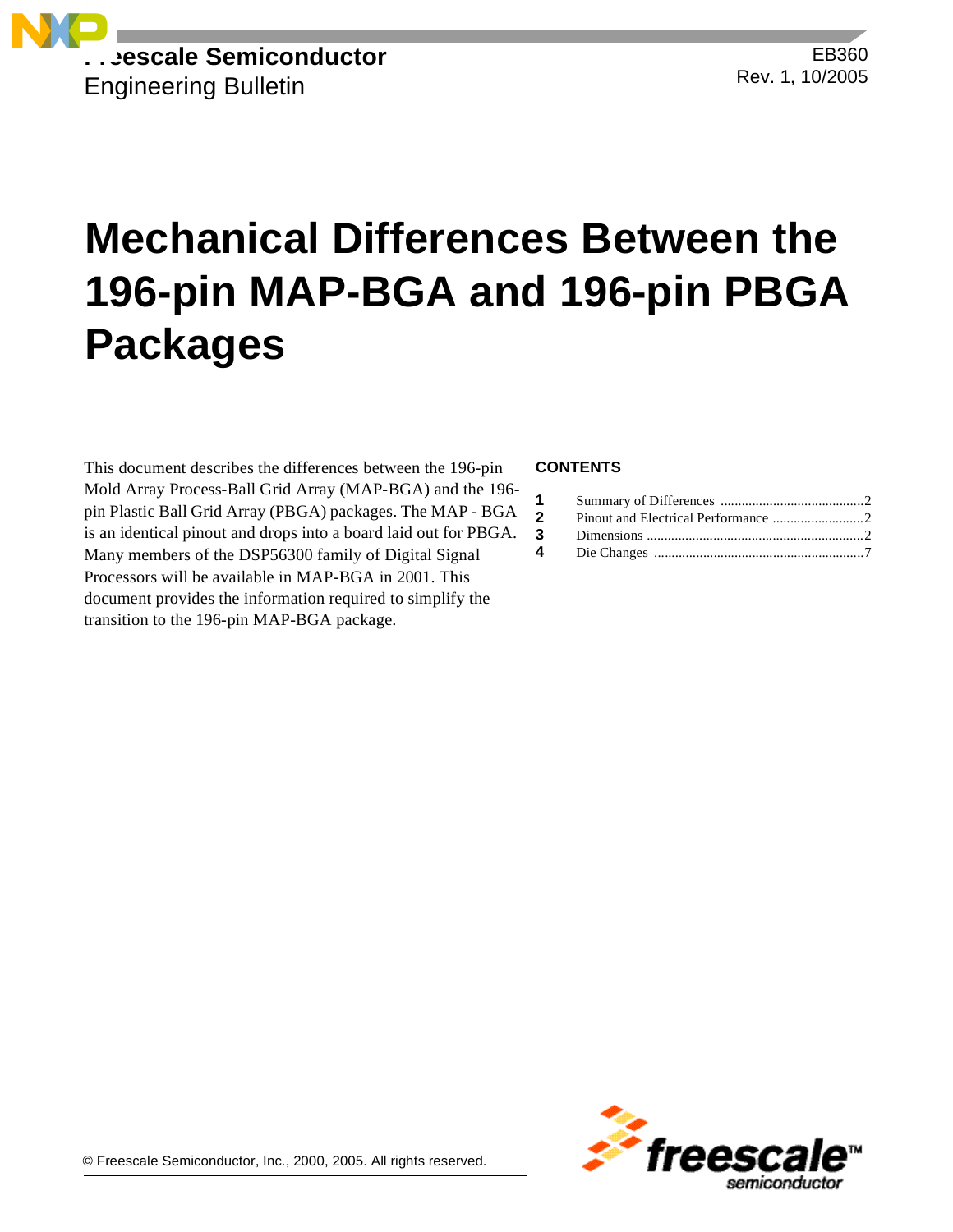

EB360 Rev. 1, 10/2005

# **Mechanical Differences Between the 196-pin MAP-BGA and 196-pin PBGA Packages**

This document describes the differences between the 196-pin Mold Array Process-Ball Grid Array (MAP-BGA) and the 196 pin Plastic Ball Grid Array (PBGA) packages. The MAP - BGA is an identical pinout and drops into a board laid out for PBGA. Many members of the DSP56300 family of Digital Signal Processors will be available in MAP-BGA in 2001. This document provides the information required to simplify the transition to the 196-pin MAP-BGA package.

### **CONTENTS**

| $\mathbf{2}$ |  |
|--------------|--|
|              |  |
|              |  |

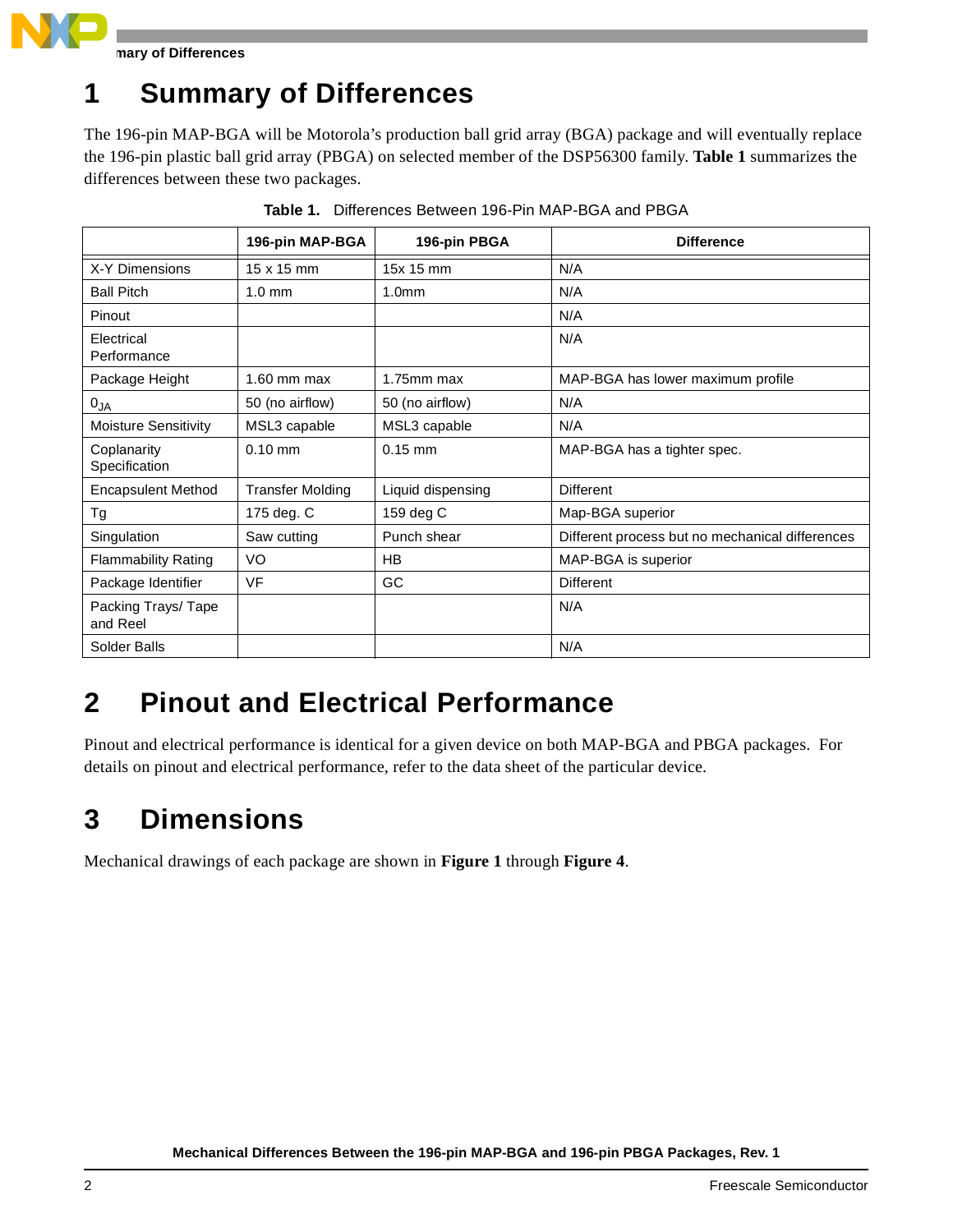

**Summary of Differences**

# **1 Summary of Differences**

The 196-pin MAP-BGA will be Motorola's production ball grid array (BGA) package and will eventually replace the 196-pin plastic ball grid array (PBGA) on selected member of the DSP56300 family. **[Table 1](#page-1-0)** summarizes the differences between these two packages.

<span id="page-1-0"></span>

|                                | 196-pin MAP-BGA         | 196-pin PBGA      | <b>Difference</b>                               |
|--------------------------------|-------------------------|-------------------|-------------------------------------------------|
| X-Y Dimensions                 | $15 \times 15$ mm       | 15x 15 mm         | N/A                                             |
| <b>Ball Pitch</b>              | $1.0 \text{ mm}$        | 1.0 <sub>mm</sub> | N/A                                             |
| Pinout                         |                         |                   | N/A                                             |
| Electrical<br>Performance      |                         |                   | N/A                                             |
| Package Height                 | $1.60$ mm max           | $1.75$ mm max     | MAP-BGA has lower maximum profile               |
| $0_{JA}$                       | 50 (no airflow)         | 50 (no airflow)   | N/A                                             |
| <b>Moisture Sensitivity</b>    | MSL3 capable            | MSL3 capable      | N/A                                             |
| Coplanarity<br>Specification   | $0.10$ mm               | $0.15$ mm         | MAP-BGA has a tighter spec.                     |
| <b>Encapsulent Method</b>      | <b>Transfer Molding</b> | Liquid dispensing | Different                                       |
| Tg                             | 175 deg. C              | 159 deg C         | Map-BGA superior                                |
| Singulation                    | Saw cutting             | Punch shear       | Different process but no mechanical differences |
| <b>Flammability Rating</b>     | VO                      | HB.               | MAP-BGA is superior                             |
| Package Identifier             | VF                      | GC                | Different                                       |
| Packing Trays/Tape<br>and Reel |                         |                   | N/A                                             |
| Solder Balls                   |                         |                   | N/A                                             |

**Table 1.** Differences Between 196-Pin MAP-BGA and PBGA

## **2 Pinout and Electrical Performance**

Pinout and electrical performance is identical for a given device on both MAP-BGA and PBGA packages. For details on pinout and electrical performance, refer to the data sheet of the particular device.

# **3 Dimensions**

Mechanical drawings of each package are shown in **[Figure 1](#page-2-0)** through **[Figure 4](#page-5-0)**.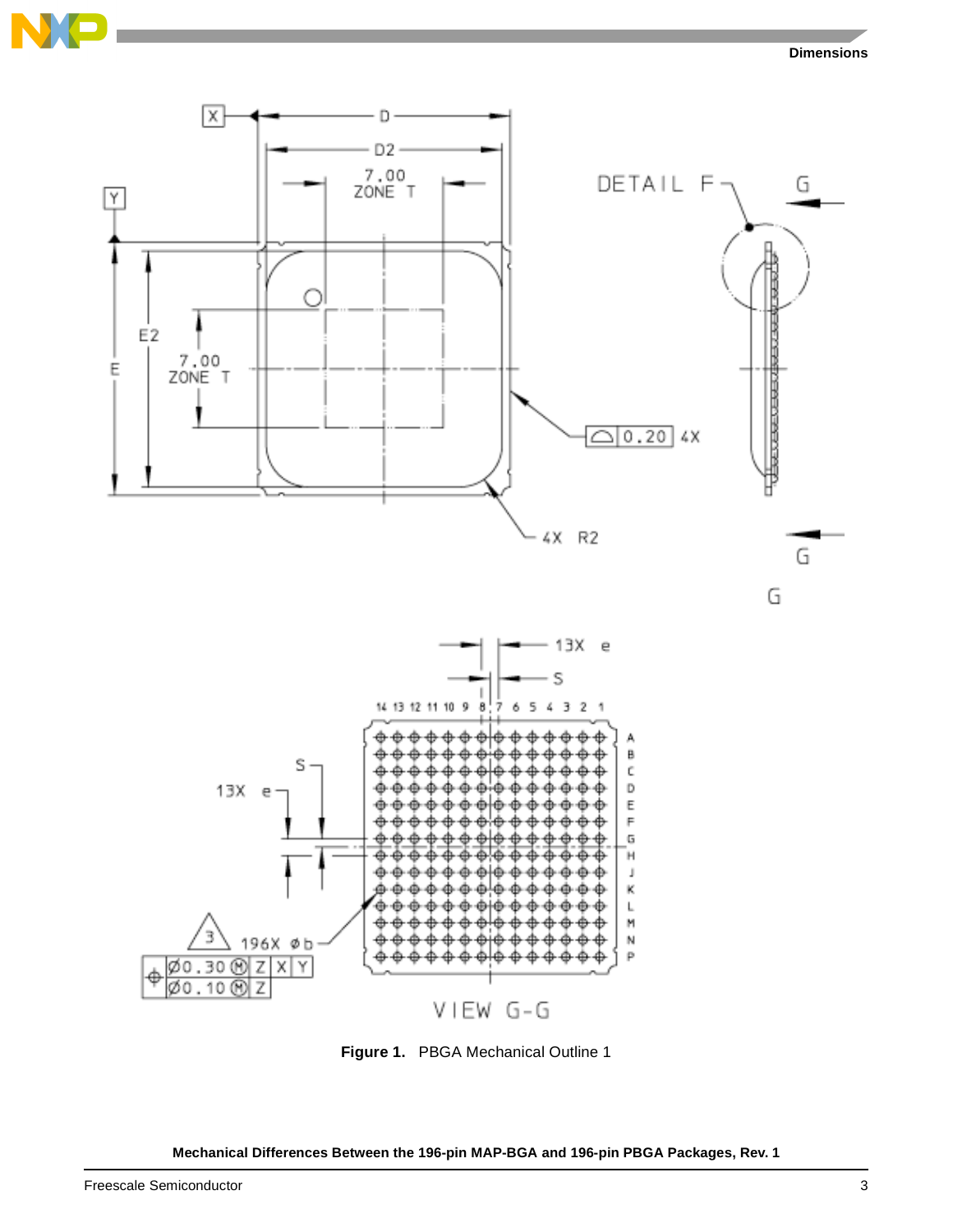





<span id="page-2-0"></span>**Figure 1.** PBGA Mechanical Outline 1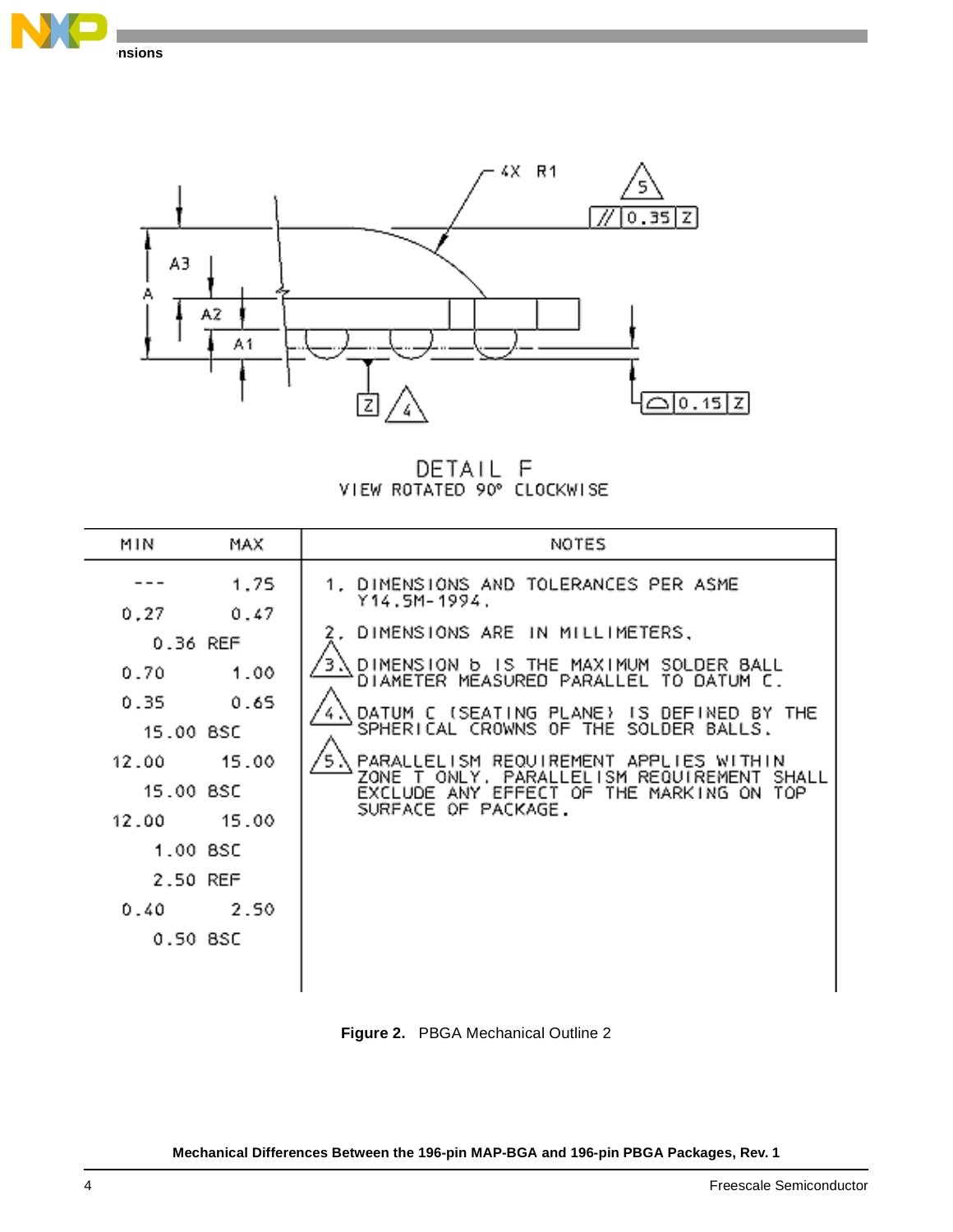



DETAIL F<br>VIEW ROTATED 90° CLOCKWISE

| MIN                                                                                                                      | MAX                                                    | NOTES                                                                                                                                                                                                                                                                                                                                                                                                                                           |
|--------------------------------------------------------------------------------------------------------------------------|--------------------------------------------------------|-------------------------------------------------------------------------------------------------------------------------------------------------------------------------------------------------------------------------------------------------------------------------------------------------------------------------------------------------------------------------------------------------------------------------------------------------|
| 0,27<br>0.36 REF<br>0.70<br>0.35<br>15.00 BSC<br>12.00<br>15.00 BSC<br>12.00<br>1.00 BSC<br>2.50 REF<br>0.40<br>0.50 BSC | 1.75<br>0.47<br>1.00<br>0.65<br>15.00<br>15.00<br>2.50 | 1. DIMENSIONS AND TOLERANCES PER ASME<br>Y14.5M-1994.<br>2. DIMENSIONS ARE IN MILLIMETERS,<br>DIMENSION <b>b</b> IS THE MAXIMUM SOLDER BALL<br>DIAMETER MEASURED PARALLEL TO DATUM C.<br>DATUM C (SEATING PLANE)<br>IS DEFINED BY THE<br>SPHERICAL CROWNS OF THE SOLDER BALLS.<br>PARALLELISM REQUIREMENT APPLIES WITHIN<br>ONLY, PARALL<br>ELISM REQUIREMENT SHALL.<br>ZONE<br>EXCLUDE ANY EFFECT OF THE MARKING ON TOP<br>SURFACE OF PACKAGE. |

**Figure 2.** PBGA Mechanical Outline 2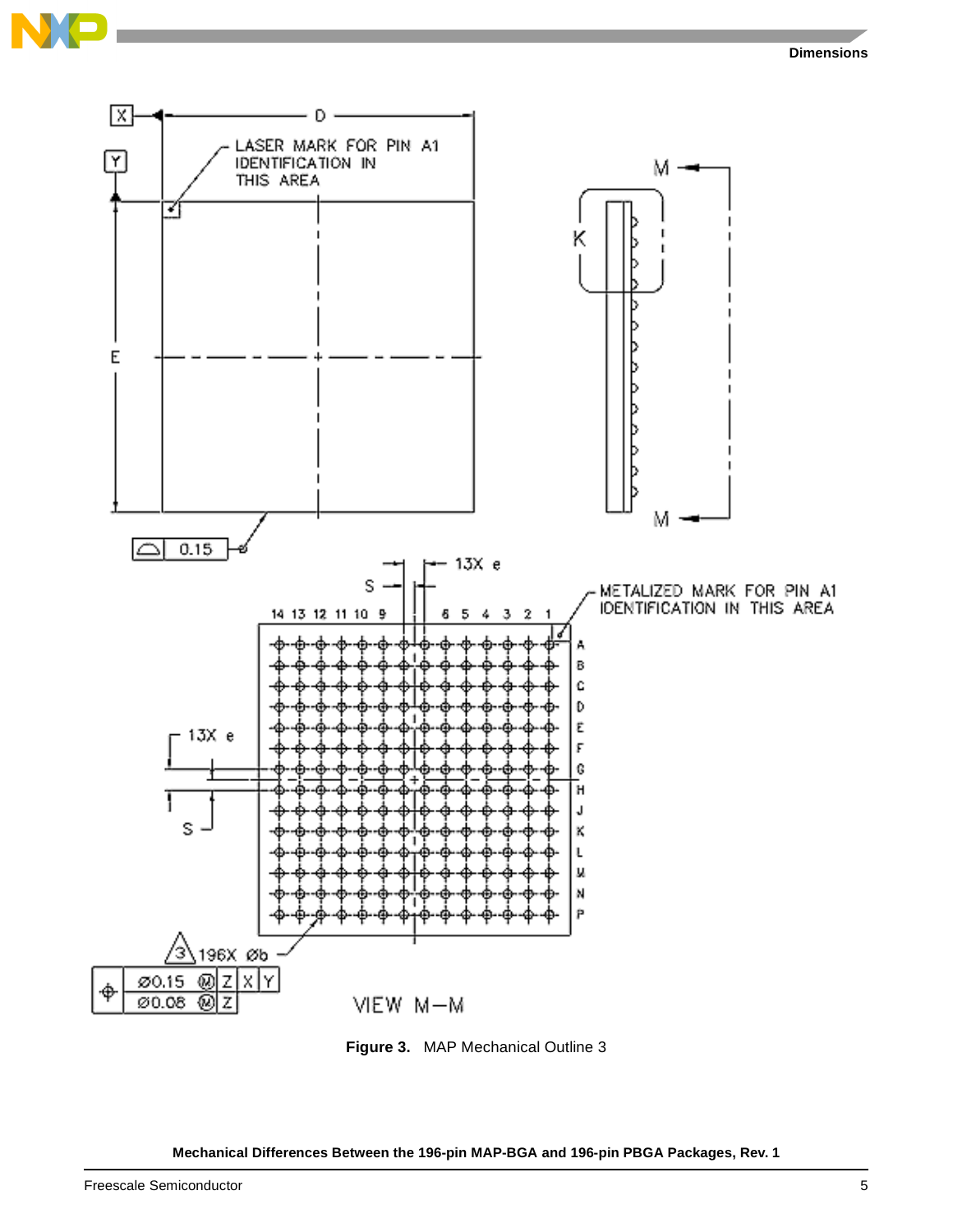

**Figure 3.** MAP Mechanical Outline 3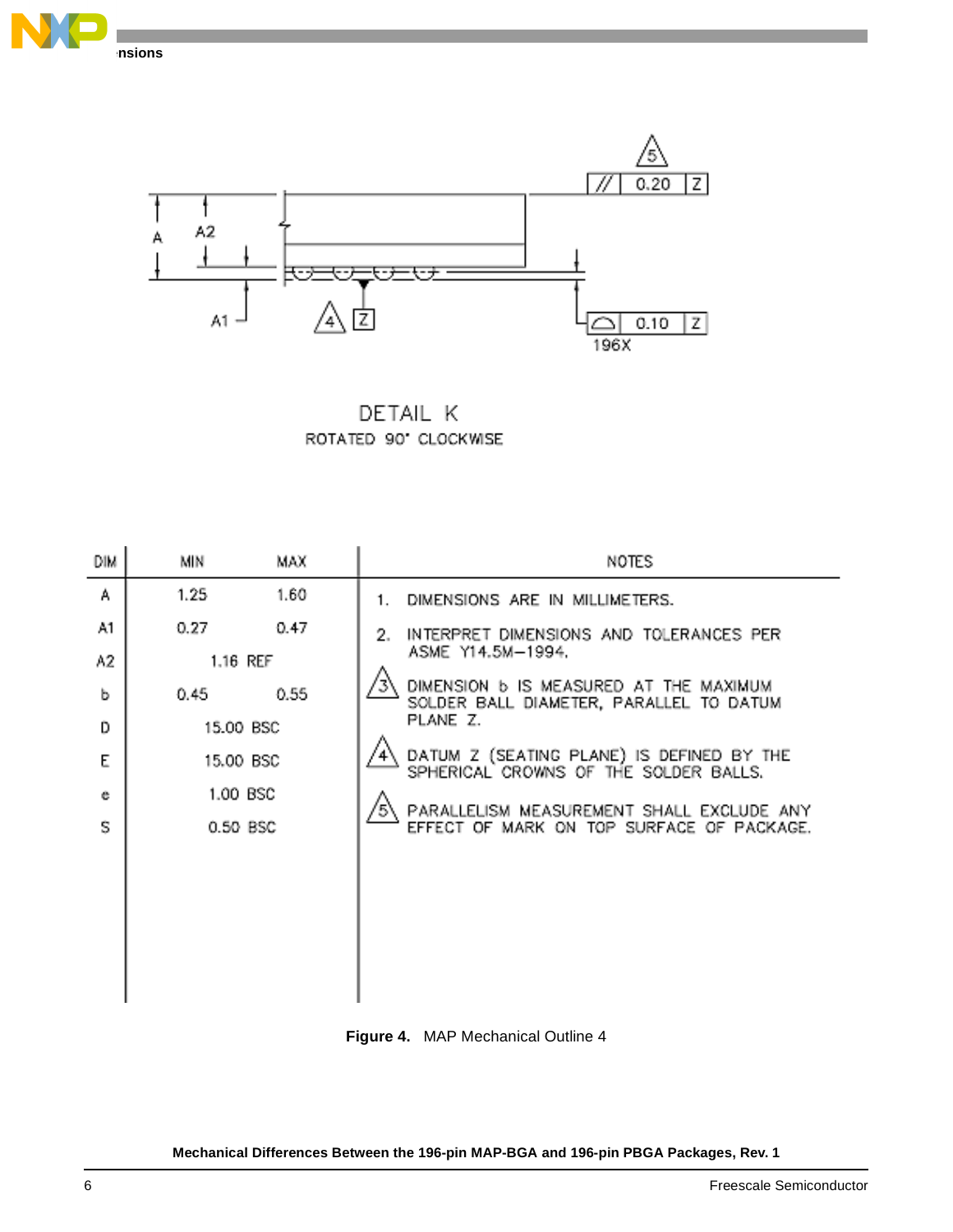



DETAIL K ROTATED 90' CLOCKWISE

| DIM | МN        | MAX      | NOTES                                                                                    |
|-----|-----------|----------|------------------------------------------------------------------------------------------|
| А   | 1.25      | 1.60     | DIMENSIONS ARE IN MILLIMETERS.<br>1.                                                     |
| A1  | 0.27      | 0.47     | INTERPRET DIMENSIONS AND TOLERANCES PER<br>2.                                            |
| A2  | 1.16 REF  |          | ASME Y14.5M-1994.                                                                        |
| ь   | 0.45      | 0.55     | DIMENSION <b>b</b> IS MEASURED AT THE MAXIMUM<br>SOLDER BALL DIAMETER, PARALLEL TO DATUM |
| D   | 15.00 BSC |          | PLANE Z.                                                                                 |
| E   | 15.00 BSC |          | DATUM Z (SEATING PLANE) IS DEFINED BY THE<br>SPHERICAL CROWNS OF THE SOLDER BALLS.       |
| e   |           | 1.00 BSC |                                                                                          |
| S   |           | 0.50 BSC | PARALLELISM MEASUREMENT SHALL EXCLUDE ANY<br>EFFECT OF MARK ON TOP SURFACE OF PACKAGE.   |
|     |           |          |                                                                                          |
|     |           |          |                                                                                          |
|     |           |          |                                                                                          |
|     |           |          |                                                                                          |
|     |           |          |                                                                                          |
|     |           |          |                                                                                          |

<span id="page-5-0"></span>**Figure 4.** MAP Mechanical Outline 4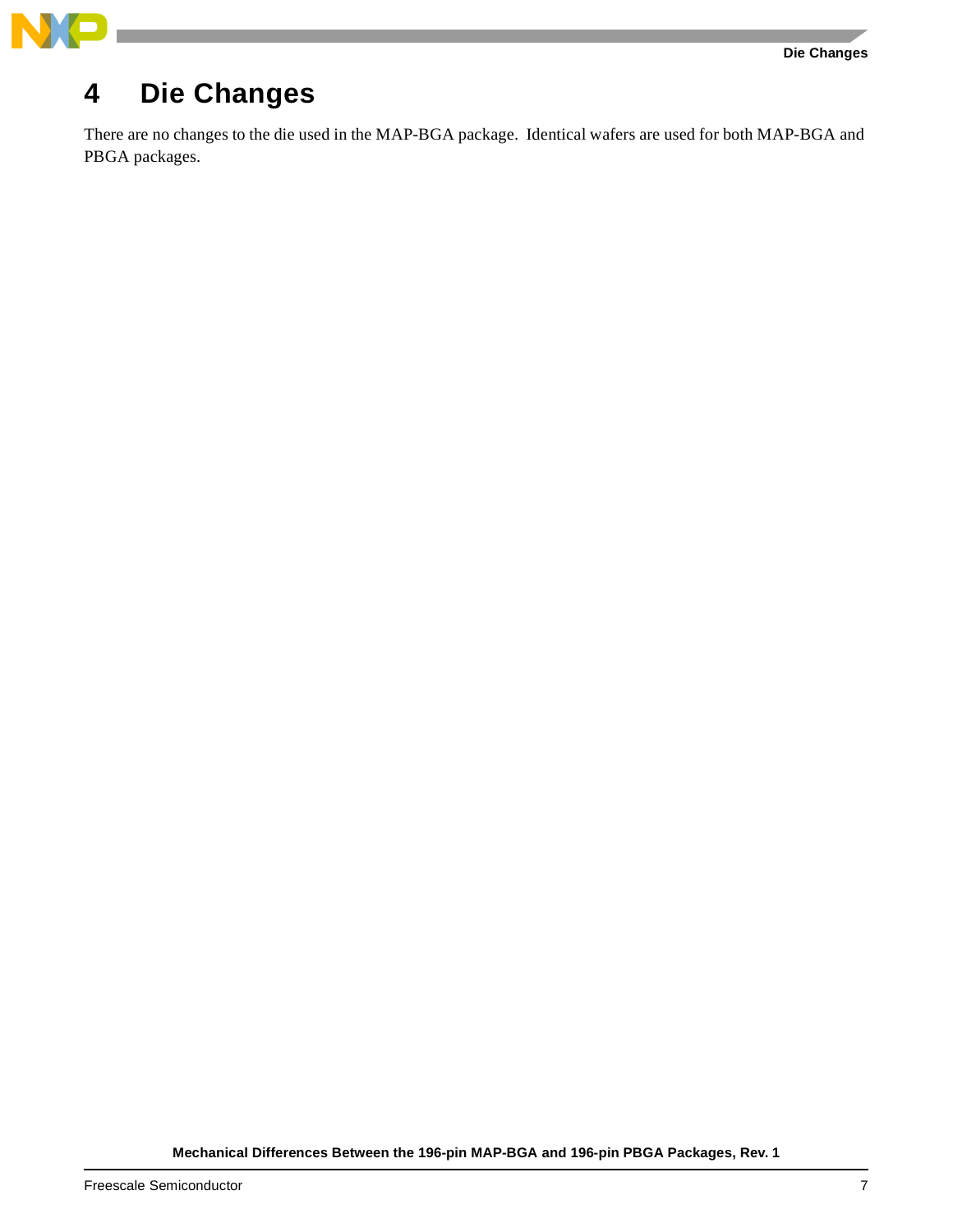

# **4 Die Changes**

There are no changes to the die used in the MAP-BGA package. Identical wafers are used for both MAP-BGA and PBGA packages.